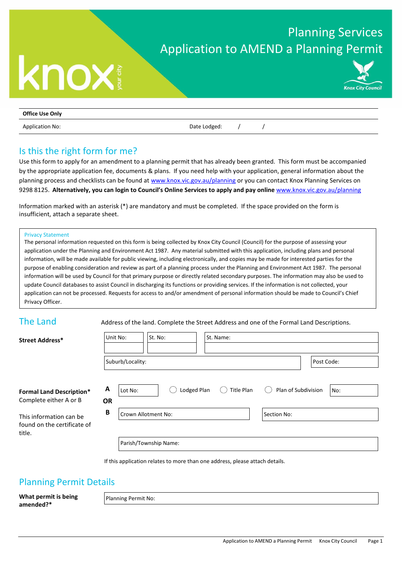### Planning Services Application to AMEND a Planning Permit

# **Knox City Council**

| <b>Office Use Only</b> |              |  |
|------------------------|--------------|--|
| <b>Application No:</b> | Date Lodged: |  |

#### Is this the right form for me?

**knox** 

Use this form to apply for an amendment to a planning permit that has already been granted. This form must be accompanied by the appropriate application fee, documents & plans. If you need help with your application, general information about the planning process and checklists can be found a[t www.knox.vic.gov.au/planning](http://www.knox.vic.gov.au/planning) or you can contact Knox Planning Services on 9298 8125. **Alternatively, you can login to Council's Online Services to apply and pay online** [www.knox.vic.gov.au/planning](http://www.knox.vic.gov.au/planning)

Information marked with an asterisk (\*) are mandatory and must be completed. If the space provided on the form is insufficient, attach a separate sheet.

#### Privacy Statement

The personal information requested on this form is being collected by Knox City Council (Council) for the purpose of assessing your application under the Planning and Environment Act 1987. Any material submitted with this application, including plans and personal information, will be made available for public viewing, including electronically, and copies may be made for interested parties for the purpose of enabling consideration and review as part of a planning process under the Planning and Environment Act 1987. The personal information will be used by Council for that primary purpose or directly related secondary purposes. The information may also be used to update Council databases to assist Council in discharging its functions or providing services. If the information is not collected, your application can not be processed. Requests for access to and/or amendment of personal information should be made to Council's Chief Privacy Officer.

The Land<br> **Address of the land.** Complete the Street Address and one of the Formal Land Descriptions.

| <b>Street Address*</b>                                    | Unit No:       |                                | St. No: |             |  | St. Name:   |            |                     |  |     |
|-----------------------------------------------------------|----------------|--------------------------------|---------|-------------|--|-------------|------------|---------------------|--|-----|
|                                                           |                | Suburb/Locality:<br>Post Code: |         |             |  |             |            |                     |  |     |
| <b>Formal Land Description*</b><br>Complete either A or B | A<br><b>OR</b> | Lot No:                        |         | Lodged Plan |  |             | Title Plan | Plan of Subdivision |  | No: |
| This information can be<br>found on the certificate of    | B              | Crown Allotment No:            |         |             |  | Section No: |            |                     |  |     |
| title.                                                    |                | Parish/Township Name:          |         |             |  |             |            |                     |  |     |

If this application relates to more than one address, please attach details.

#### Planning Permit Details

**What permit is being amended?\***

Planning Permit No: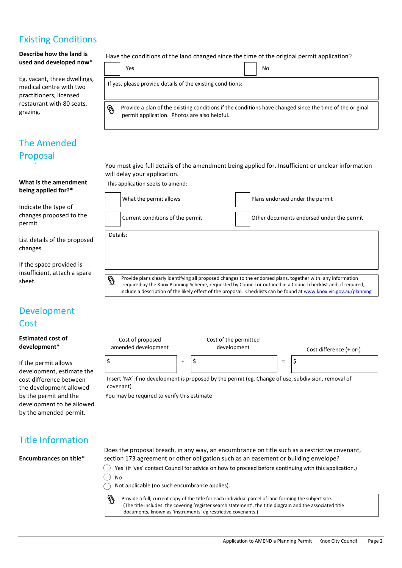#### Existing Conditions

**Describe how the land is used and developed now\***

Eg. vacant, three dwellings, medical centre with two practitioners, licensed restaurant with 80 seats, grazing.

#### The Amended Proposal

#### **What is the amendment being applied for?\***

Indicate the type of changes proposed to the permit

List details of the proposed changes

If the space provided is insufficient, attach a spare sheet.

#### Development **Cost**

**Estimated cost of development\***

If the permit allows development, estimate the cost difference between the development allowed by the permit and the development to be allowed by the amended permit.

Have the conditions of the land changed since the time of the original permit application?

| Yes                                                        | No |  |
|------------------------------------------------------------|----|--|
| If yes, please provide details of the existing conditions: |    |  |

Ø Provide a plan of the existing conditions if the conditions have changed since the time of the original permit application. Photos are also helpful.

You must give full details of the amendment being applied for. Insufficient or unclear information will delay your application.

This application seeks to amend:

| What the permit allows           | Plans endorsed under the permit                                                                                                                                                                                                 |
|----------------------------------|---------------------------------------------------------------------------------------------------------------------------------------------------------------------------------------------------------------------------------|
| Current conditions of the permit | Other documents endorsed under the permit                                                                                                                                                                                       |
| Details:                         |                                                                                                                                                                                                                                 |
|                                  |                                                                                                                                                                                                                                 |
|                                  |                                                                                                                                                                                                                                 |
|                                  | Provide plans clearly identifying all proposed changes to the endorsed plans, together with: any information<br>required by the Knox Planning Scheme, requested by Council or outlined in a Council checklist and; if required, |



You may be required to verify this estimate

#### Title Information

**Encumbrances on title\***

Does the proposal breach, in any way, an encumbrance on title such as a restrictive covenant, section 173 agreement or other obligation such as an easement or building envelope?

 $\bigcirc$  Yes (if 'yes' contact Council for advice on how to proceed before continuing with this application.)

 $No$  $\bigcap$  Not applicable (no such encumbrance applies).

Provide a full, current copy of the title for each individual parcel of land forming the subject site. (The title includes: the covering 'register search statement', the title diagram and the associated title documents, known as 'instruments' eg restrictive covenants.)